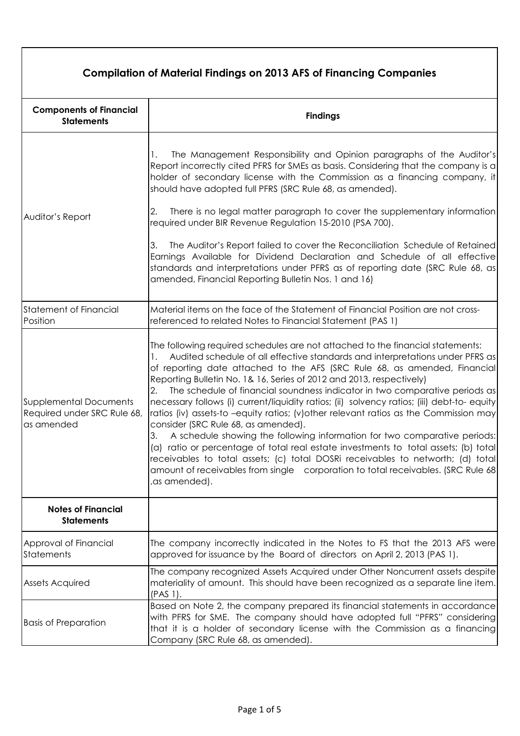| <b>Compilation of Material Findings on 2013 AFS of Financing Companies</b> |                                                                                                                                                                                                                                                                                                                                                                                                                                                                                                                                                                                                                                                                                                                                                                                                                                                                                                                                                                                                                  |  |
|----------------------------------------------------------------------------|------------------------------------------------------------------------------------------------------------------------------------------------------------------------------------------------------------------------------------------------------------------------------------------------------------------------------------------------------------------------------------------------------------------------------------------------------------------------------------------------------------------------------------------------------------------------------------------------------------------------------------------------------------------------------------------------------------------------------------------------------------------------------------------------------------------------------------------------------------------------------------------------------------------------------------------------------------------------------------------------------------------|--|
| <b>Components of Financial</b><br><b>Statements</b>                        | <b>Findings</b>                                                                                                                                                                                                                                                                                                                                                                                                                                                                                                                                                                                                                                                                                                                                                                                                                                                                                                                                                                                                  |  |
|                                                                            | The Management Responsibility and Opinion paragraphs of the Auditor's<br>Report incorrectly cited PFRS for SMEs as basis. Considering that the company is a<br>holder of secondary license with the Commission as a financing company, it<br>should have adopted full PFRS (SRC Rule 68, as amended).                                                                                                                                                                                                                                                                                                                                                                                                                                                                                                                                                                                                                                                                                                            |  |
| Auditor's Report                                                           | There is no legal matter paragraph to cover the supplementary information<br>2.<br>required under BIR Revenue Regulation 15-2010 (PSA 700).                                                                                                                                                                                                                                                                                                                                                                                                                                                                                                                                                                                                                                                                                                                                                                                                                                                                      |  |
|                                                                            | The Auditor's Report failed to cover the Reconciliation Schedule of Retained<br>3.<br>Earnings Available for Dividend Declaration and Schedule of all effective<br>standards and interpretations under PFRS as of reporting date (SRC Rule 68, as<br>amended, Financial Reporting Bulletin Nos. 1 and 16)                                                                                                                                                                                                                                                                                                                                                                                                                                                                                                                                                                                                                                                                                                        |  |
| <b>Statement of Financial</b><br>Position                                  | Material items on the face of the Statement of Financial Position are not cross-<br>referenced to related Notes to Financial Statement (PAS 1)                                                                                                                                                                                                                                                                                                                                                                                                                                                                                                                                                                                                                                                                                                                                                                                                                                                                   |  |
| <b>Supplemental Documents</b><br>Required under SRC Rule 68,<br>as amended | The following required schedules are not attached to the financial statements:<br>Audited schedule of all effective standards and interpretations under PFRS as<br>Ι.<br>of reporting date attached to the AFS (SRC Rule 68, as amended, Financial<br>Reporting Bulletin No. 1& 16, Series of 2012 and 2013, respectively)<br>The schedule of financial soundness indicator in two comparative periods as<br>2.<br>necessary follows (i) current/liquidity ratios; (ii) solvency ratios; (iii) debt-to-equity<br>ratios (iv) assets-to -equity ratios; (v) other relevant ratios as the Commission may<br>consider (SRC Rule 68, as amended).<br>A schedule showing the following information for two comparative periods:<br>3.<br>(a) ratio or percentage of total real estate investments to total assets; (b) total<br>receivables to total assets; (c) total DOSRi receivables to networth; (d) total<br>amount of receivables from single corporation to total receivables. (SRC Rule 68)<br>,as amended). |  |
| <b>Notes of Financial</b><br><b>Statements</b>                             |                                                                                                                                                                                                                                                                                                                                                                                                                                                                                                                                                                                                                                                                                                                                                                                                                                                                                                                                                                                                                  |  |
| Approval of Financial<br>Statements                                        | The company incorrectly indicated in the Notes to FS that the 2013 AFS were<br>approved for issuance by the Board of directors on April 2, 2013 (PAS 1).                                                                                                                                                                                                                                                                                                                                                                                                                                                                                                                                                                                                                                                                                                                                                                                                                                                         |  |
| <b>Assets Acquired</b>                                                     | The company recognized Assets Acquired under Other Noncurrent assets despite<br>materiality of amount. This should have been recognized as a separate line item.<br>(PAS 1).                                                                                                                                                                                                                                                                                                                                                                                                                                                                                                                                                                                                                                                                                                                                                                                                                                     |  |
| <b>Basis of Preparation</b>                                                | Based on Note 2, the company prepared its financial statements in accordance<br>with PFRS for SME. The company should have adopted full "PFRS" considering<br>that it is a holder of secondary license with the Commission as a financing<br>Company (SRC Rule 68, as amended).                                                                                                                                                                                                                                                                                                                                                                                                                                                                                                                                                                                                                                                                                                                                  |  |

٦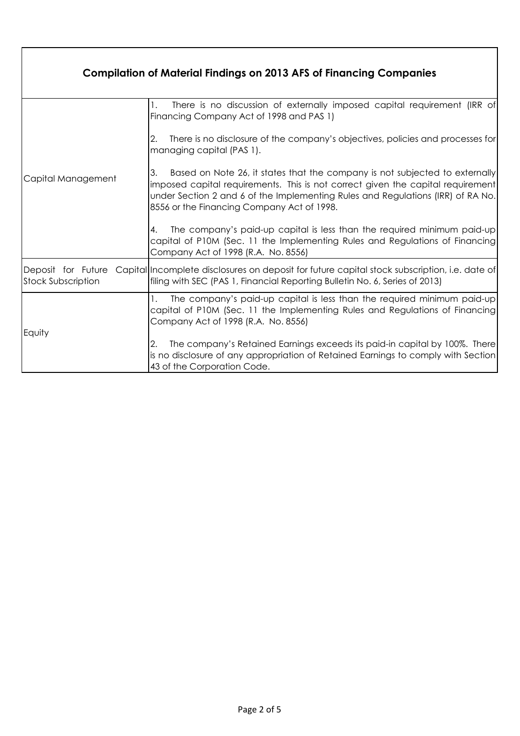| <b>Compilation of Material Findings on 2013 AFS of Financing Companies</b> |                                                                                                                                                                                                                                                                                                       |  |
|----------------------------------------------------------------------------|-------------------------------------------------------------------------------------------------------------------------------------------------------------------------------------------------------------------------------------------------------------------------------------------------------|--|
| Capital Management                                                         | There is no discussion of externally imposed capital requirement (IRR of<br>Financing Company Act of 1998 and PAS 1)                                                                                                                                                                                  |  |
|                                                                            | There is no disclosure of the company's objectives, policies and processes for<br>2.<br>managing capital (PAS 1).                                                                                                                                                                                     |  |
|                                                                            | 3.<br>Based on Note 26, it states that the company is not subjected to externally<br>imposed capital requirements. This is not correct given the capital requirement<br>under Section 2 and 6 of the Implementing Rules and Regulations (IRR) of RA No.<br>8556 or the Financing Company Act of 1998. |  |
|                                                                            | The company's paid-up capital is less than the required minimum paid-up<br>$4_{-}$<br>capital of P10M (Sec. 11 the Implementing Rules and Regulations of Financing)<br>Company Act of 1998 (R.A. No. 8556)                                                                                            |  |
| Deposit for Future<br><b>Stock Subscription</b>                            | Capital Incomplete disclosures on deposit for future capital stock subscription, i.e. date of<br>filing with SEC (PAS 1, Financial Reporting Bulletin No. 6, Series of 2013)                                                                                                                          |  |
| Equity                                                                     | The company's paid-up capital is less than the required minimum paid-up<br>capital of P10M (Sec. 11 the Implementing Rules and Regulations of Financing<br>Company Act of 1998 (R.A. No. 8556)                                                                                                        |  |
|                                                                            | The company's Retained Earnings exceeds its paid-in capital by 100%. There<br>2.<br>is no disclosure of any appropriation of Retained Earnings to comply with Section<br>43 of the Corporation Code.                                                                                                  |  |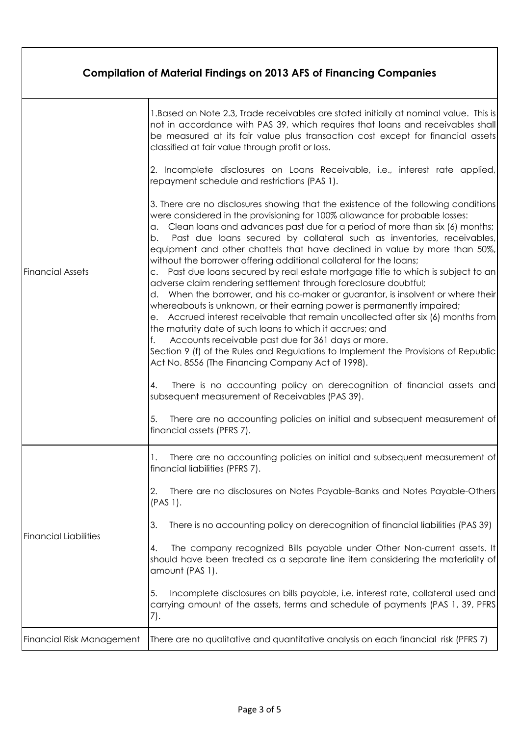| <b>Compilation of Material Findings on 2013 AFS of Financing Companies</b> |                                                                                                                                                                                                                                                                                                                                                                                                                                                                                                                                                                                                                                                                                                                                                                                                                                                                                                                                                                                                                                                                                                                                                                     |  |
|----------------------------------------------------------------------------|---------------------------------------------------------------------------------------------------------------------------------------------------------------------------------------------------------------------------------------------------------------------------------------------------------------------------------------------------------------------------------------------------------------------------------------------------------------------------------------------------------------------------------------------------------------------------------------------------------------------------------------------------------------------------------------------------------------------------------------------------------------------------------------------------------------------------------------------------------------------------------------------------------------------------------------------------------------------------------------------------------------------------------------------------------------------------------------------------------------------------------------------------------------------|--|
| <b>Financial Assets</b>                                                    | 1. Based on Note 2.3, Trade receivables are stated initially at nominal value. This is<br>not in accordance with PAS 39, which requires that loans and receivables shall<br>be measured at its fair value plus transaction cost except for financial assets<br>classified at fair value through profit or loss.                                                                                                                                                                                                                                                                                                                                                                                                                                                                                                                                                                                                                                                                                                                                                                                                                                                     |  |
|                                                                            | 2. Incomplete disclosures on Loans Receivable, i.e., interest rate applied,<br>repayment schedule and restrictions (PAS 1).                                                                                                                                                                                                                                                                                                                                                                                                                                                                                                                                                                                                                                                                                                                                                                                                                                                                                                                                                                                                                                         |  |
|                                                                            | 3. There are no disclosures showing that the existence of the following conditions<br>were considered in the provisioning for 100% allowance for probable losses:<br>Clean loans and advances past due for a period of more than six (6) months;<br>а.<br>Past due loans secured by collateral such as inventories, receivables,<br>b.<br>equipment and other chattels that have declined in value by more than 50%,<br>without the borrower offering additional collateral for the loans;<br>c. Past due loans secured by real estate mortgage title to which is subject to an<br>adverse claim rendering settlement through foreclosure doubtful;<br>d. When the borrower, and his co-maker or guarantor, is insolvent or where their<br>whereabouts is unknown, or their earning power is permanently impaired;<br>e. Accrued interest receivable that remain uncollected after six (6) months from<br>the maturity date of such loans to which it accrues; and<br>Accounts receivable past due for 361 days or more.<br>Section 9 (f) of the Rules and Regulations to Implement the Provisions of Republic<br>Act No. 8556 (The Financing Company Act of 1998). |  |
|                                                                            | There is no accounting policy on derecognition of financial assets and<br>4.<br>subsequent measurement of Receivables (PAS 39).<br>There are no accounting policies on initial and subsequent measurement of<br>financial assets (PFRS 7).                                                                                                                                                                                                                                                                                                                                                                                                                                                                                                                                                                                                                                                                                                                                                                                                                                                                                                                          |  |
| <b>Financial Liabilities</b>                                               | There are no accounting policies on initial and subsequent measurement of<br>financial liabilities (PFRS 7).                                                                                                                                                                                                                                                                                                                                                                                                                                                                                                                                                                                                                                                                                                                                                                                                                                                                                                                                                                                                                                                        |  |
|                                                                            | There are no disclosures on Notes Payable-Banks and Notes Payable-Others<br>2.<br>$(PAS 1)$ .                                                                                                                                                                                                                                                                                                                                                                                                                                                                                                                                                                                                                                                                                                                                                                                                                                                                                                                                                                                                                                                                       |  |
|                                                                            | There is no accounting policy on derecognition of financial liabilities (PAS 39)<br>3.                                                                                                                                                                                                                                                                                                                                                                                                                                                                                                                                                                                                                                                                                                                                                                                                                                                                                                                                                                                                                                                                              |  |
|                                                                            | The company recognized Bills payable under Other Non-current assets. It<br>4.<br>should have been treated as a separate line item considering the materiality of<br>amount (PAS 1).                                                                                                                                                                                                                                                                                                                                                                                                                                                                                                                                                                                                                                                                                                                                                                                                                                                                                                                                                                                 |  |
|                                                                            | Incomplete disclosures on bills payable, i.e. interest rate, collateral used and<br>5.<br>carrying amount of the assets, terms and schedule of payments (PAS 1, 39, PFRS<br>7).                                                                                                                                                                                                                                                                                                                                                                                                                                                                                                                                                                                                                                                                                                                                                                                                                                                                                                                                                                                     |  |
| Financial Risk Management                                                  | There are no qualitative and quantitative analysis on each financial risk (PFRS 7)                                                                                                                                                                                                                                                                                                                                                                                                                                                                                                                                                                                                                                                                                                                                                                                                                                                                                                                                                                                                                                                                                  |  |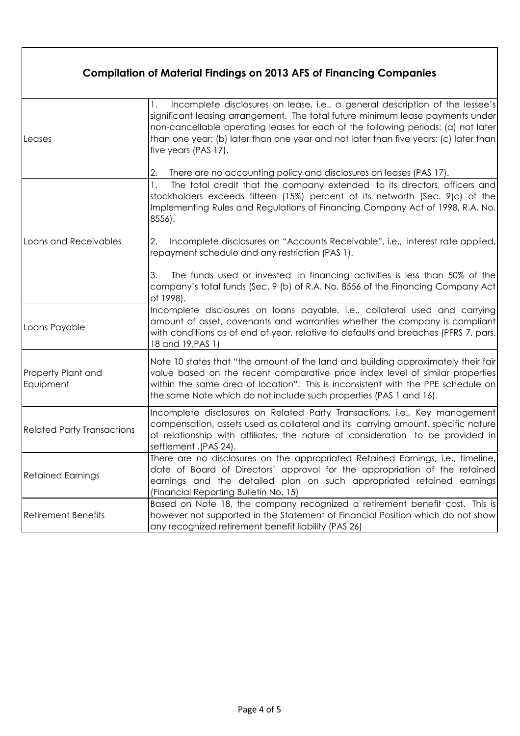| <b>Compilation of Material Findings on 2013 AFS of Financing Companies</b> |                                                                                                                                                                                                                                                                                                                                                                           |  |
|----------------------------------------------------------------------------|---------------------------------------------------------------------------------------------------------------------------------------------------------------------------------------------------------------------------------------------------------------------------------------------------------------------------------------------------------------------------|--|
| Leases                                                                     | Incomplete disclosures on lease, i.e., a general description of the lessee's<br>Ι.<br>significant leasing arrangement. The total future minimum lease payments under<br>non-cancellable operating leases for each of the following periods: (a) not later<br>than one year; (b) later than one year and not later than five years; (c) later than<br>five years (PAS 17). |  |
| Loans and Receivables                                                      | There are no accounting policy and disclosures on leases (PAS 17).<br>2.<br>The total credit that the company extended to its directors, officers and<br>1.<br>stockholders exceeds fifteen (15%) percent of its networth (Sec. 9(c) of the<br>Implementing Rules and Regulations of Financing Company Act of 1998, R.A. No.<br>8556).                                    |  |
|                                                                            | Incomplete disclosures on "Accounts Receivable", i.e., interest rate applied,<br>2.<br>repayment schedule and any restriction (PAS 1).                                                                                                                                                                                                                                    |  |
|                                                                            | The funds used or invested in financing activities is less than 50% of the<br>3.<br>company's total funds (Sec. 9 (b) of R.A. No. 8556 of the Financing Company Act<br>of 1998).                                                                                                                                                                                          |  |
| Loans Payable                                                              | Incomplete disclosures on loans payable, i.e., collateral used and carrying<br>amount of asset, covenants and warranties whether the company is compliant<br>with conditions as of end of year, relative to defaults and breaches (PFRS 7, pars.<br>18 and 19, PAS 1)                                                                                                     |  |
| Property Plant and<br>Equipment                                            | Note 10 states that "the amount of the land and building approximately their fair<br>value based on the recent comparative price index level of similar properties<br>within the same area of location". This is inconsistent with the PPE schedule on<br>the same Note which do not include such properties (PAS 1 and 16).                                              |  |
| <b>Related Party Transactions</b>                                          | Incomplete disclosures on Related Party Transactions, i.e., Key management<br>compensation, assets used as collateral and its carrying amount, specific nature<br>of relationship with affiliates, the nature of consideration to be provided in<br>settlement .(PAS 24).                                                                                                 |  |
| <b>Retained Earnings</b>                                                   | There are no disclosures on the appropriated Retained Earnings, i.e., timeline,<br>date of Board of Directors' approval for the appropriation of the retained<br>earnings and the detailed plan on such appropriated retained earnings<br>(Financial Reporting Bulletin No. 15)                                                                                           |  |
| <b>Retirement Benefits</b>                                                 | Based on Note 18, the company recognized a retirement benefit cost. This is<br>however not supported in the Statement of Financial Position which do not show<br>any recognized retirement benefit liability (PAS 26)                                                                                                                                                     |  |